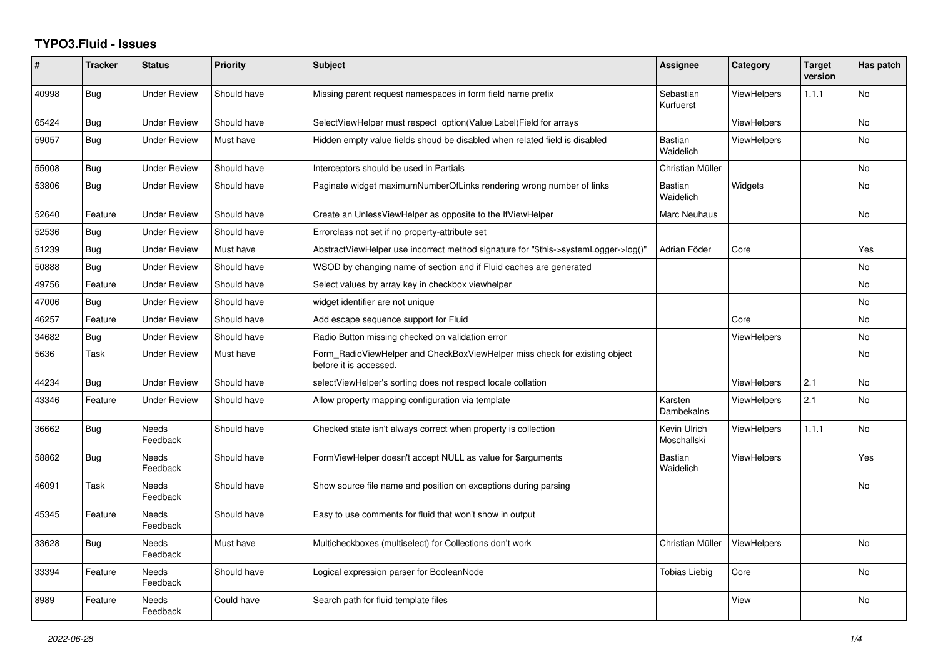## **TYPO3.Fluid - Issues**

| #     | <b>Tracker</b> | <b>Status</b>            | <b>Priority</b> | <b>Subject</b>                                                                                       | Assignee                    | Category           | <b>Target</b><br>version | Has patch      |
|-------|----------------|--------------------------|-----------------|------------------------------------------------------------------------------------------------------|-----------------------------|--------------------|--------------------------|----------------|
| 40998 | <b>Bug</b>     | <b>Under Review</b>      | Should have     | Missing parent request namespaces in form field name prefix                                          | Sebastian<br>Kurfuerst      | <b>ViewHelpers</b> | 1.1.1                    | No             |
| 65424 | Bug            | <b>Under Review</b>      | Should have     | SelectViewHelper must respect option(Value Label)Field for arrays                                    |                             | <b>ViewHelpers</b> |                          | <b>No</b>      |
| 59057 | Bug            | Under Review             | Must have       | Hidden empty value fields shoud be disabled when related field is disabled                           | <b>Bastian</b><br>Waidelich | ViewHelpers        |                          | No             |
| 55008 | <b>Bug</b>     | <b>Under Review</b>      | Should have     | Interceptors should be used in Partials                                                              | Christian Müller            |                    |                          | <b>No</b>      |
| 53806 | Bug            | Under Review             | Should have     | Paginate widget maximumNumberOfLinks rendering wrong number of links                                 | Bastian<br>Waidelich        | Widgets            |                          | N <sub>o</sub> |
| 52640 | Feature        | <b>Under Review</b>      | Should have     | Create an UnlessViewHelper as opposite to the IfViewHelper                                           | Marc Neuhaus                |                    |                          | No             |
| 52536 | <b>Bug</b>     | <b>Under Review</b>      | Should have     | Errorclass not set if no property-attribute set                                                      |                             |                    |                          |                |
| 51239 | Bug            | <b>Under Review</b>      | Must have       | AbstractViewHelper use incorrect method signature for "\$this->systemLogger->log()"                  | Adrian Föder                | Core               |                          | Yes            |
| 50888 | <b>Bug</b>     | <b>Under Review</b>      | Should have     | WSOD by changing name of section and if Fluid caches are generated                                   |                             |                    |                          | <b>No</b>      |
| 49756 | Feature        | <b>Under Review</b>      | Should have     | Select values by array key in checkbox viewhelper                                                    |                             |                    |                          | <b>No</b>      |
| 47006 | Bug            | <b>Under Review</b>      | Should have     | widget identifier are not unique                                                                     |                             |                    |                          | <b>No</b>      |
| 46257 | Feature        | <b>Under Review</b>      | Should have     | Add escape sequence support for Fluid                                                                |                             | Core               |                          | <b>No</b>      |
| 34682 | Bug            | <b>Under Review</b>      | Should have     | Radio Button missing checked on validation error                                                     |                             | <b>ViewHelpers</b> |                          | No             |
| 5636  | Task           | <b>Under Review</b>      | Must have       | Form_RadioViewHelper and CheckBoxViewHelper miss check for existing object<br>before it is accessed. |                             |                    |                          | <b>No</b>      |
| 44234 | Bug            | <b>Under Review</b>      | Should have     | selectViewHelper's sorting does not respect locale collation                                         |                             | <b>ViewHelpers</b> | 2.1                      | No             |
| 43346 | Feature        | <b>Under Review</b>      | Should have     | Allow property mapping configuration via template                                                    | Karsten<br>Dambekalns       | <b>ViewHelpers</b> | 2.1                      | <b>No</b>      |
| 36662 | Bug            | <b>Needs</b><br>Feedback | Should have     | Checked state isn't always correct when property is collection                                       | Kevin Ulrich<br>Moschallski | <b>ViewHelpers</b> | 1.1.1                    | <b>No</b>      |
| 58862 | <b>Bug</b>     | Needs<br>Feedback        | Should have     | FormViewHelper doesn't accept NULL as value for \$arguments                                          | <b>Bastian</b><br>Waidelich | ViewHelpers        |                          | Yes            |
| 46091 | Task           | Needs<br>Feedback        | Should have     | Show source file name and position on exceptions during parsing                                      |                             |                    |                          | No             |
| 45345 | Feature        | Needs<br>Feedback        | Should have     | Easy to use comments for fluid that won't show in output                                             |                             |                    |                          |                |
| 33628 | Bug            | Needs<br>Feedback        | Must have       | Multicheckboxes (multiselect) for Collections don't work                                             | Christian Müller            | ViewHelpers        |                          | <b>No</b>      |
| 33394 | Feature        | Needs<br>Feedback        | Should have     | Logical expression parser for BooleanNode                                                            | Tobias Liebig               | Core               |                          | No             |
| 8989  | Feature        | Needs<br>Feedback        | Could have      | Search path for fluid template files                                                                 |                             | View               |                          | <b>No</b>      |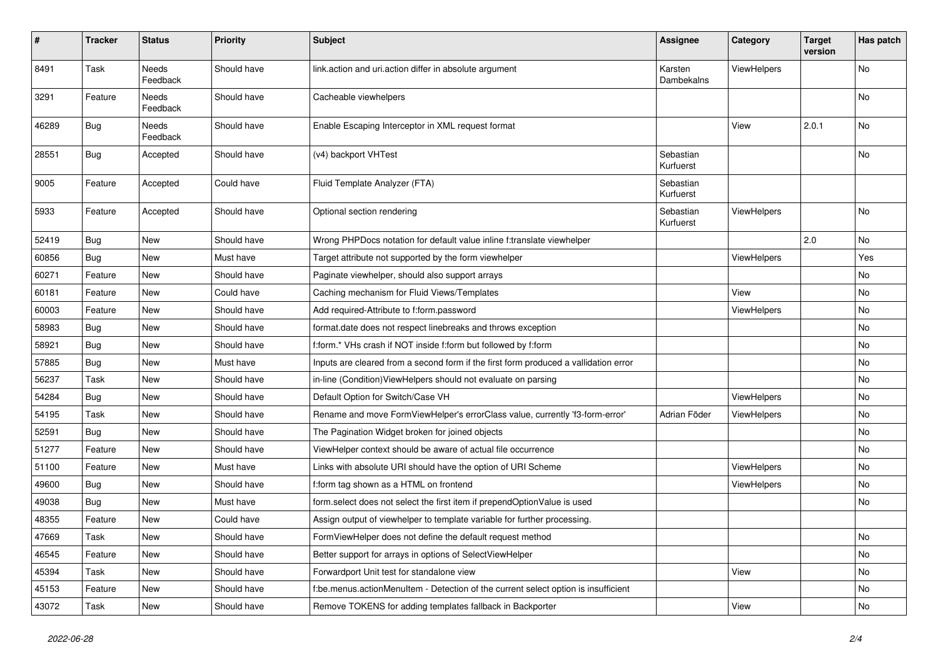| $\pmb{\#}$ | <b>Tracker</b> | <b>Status</b>            | <b>Priority</b> | <b>Subject</b>                                                                       | <b>Assignee</b>        | Category           | <b>Target</b><br>version | Has patch |
|------------|----------------|--------------------------|-----------------|--------------------------------------------------------------------------------------|------------------------|--------------------|--------------------------|-----------|
| 8491       | Task           | <b>Needs</b><br>Feedback | Should have     | link.action and uri.action differ in absolute argument                               | Karsten<br>Dambekalns  | ViewHelpers        |                          | <b>No</b> |
| 3291       | Feature        | Needs<br>Feedback        | Should have     | Cacheable viewhelpers                                                                |                        |                    |                          | No        |
| 46289      | Bug            | Needs<br>Feedback        | Should have     | Enable Escaping Interceptor in XML request format                                    |                        | View               | 2.0.1                    | No        |
| 28551      | Bug            | Accepted                 | Should have     | (v4) backport VHTest                                                                 | Sebastian<br>Kurfuerst |                    |                          | No        |
| 9005       | Feature        | Accepted                 | Could have      | Fluid Template Analyzer (FTA)                                                        | Sebastian<br>Kurfuerst |                    |                          |           |
| 5933       | Feature        | Accepted                 | Should have     | Optional section rendering                                                           | Sebastian<br>Kurfuerst | ViewHelpers        |                          | No        |
| 52419      | Bug            | New                      | Should have     | Wrong PHPDocs notation for default value inline f:translate viewhelper               |                        |                    | 2.0                      | No        |
| 60856      | <b>Bug</b>     | New                      | Must have       | Target attribute not supported by the form viewhelper                                |                        | ViewHelpers        |                          | Yes       |
| 60271      | Feature        | New                      | Should have     | Paginate viewhelper, should also support arrays                                      |                        |                    |                          | No        |
| 60181      | Feature        | New                      | Could have      | Caching mechanism for Fluid Views/Templates                                          |                        | View               |                          | No        |
| 60003      | Feature        | <b>New</b>               | Should have     | Add required-Attribute to f:form.password                                            |                        | ViewHelpers        |                          | No        |
| 58983      | <b>Bug</b>     | New                      | Should have     | format.date does not respect linebreaks and throws exception                         |                        |                    |                          | No        |
| 58921      | Bug            | New                      | Should have     | f:form.* VHs crash if NOT inside f:form but followed by f:form                       |                        |                    |                          | No        |
| 57885      | Bug            | New                      | Must have       | Inputs are cleared from a second form if the first form produced a vallidation error |                        |                    |                          | <b>No</b> |
| 56237      | Task           | New                      | Should have     | in-line (Condition) View Helpers should not evaluate on parsing                      |                        |                    |                          | No        |
| 54284      | Bug            | New                      | Should have     | Default Option for Switch/Case VH                                                    |                        | ViewHelpers        |                          | No        |
| 54195      | Task           | New                      | Should have     | Rename and move FormViewHelper's errorClass value, currently 'f3-form-error'         | Adrian Föder           | <b>ViewHelpers</b> |                          | No        |
| 52591      | <b>Bug</b>     | New                      | Should have     | The Pagination Widget broken for joined objects                                      |                        |                    |                          | No        |
| 51277      | Feature        | New                      | Should have     | ViewHelper context should be aware of actual file occurrence                         |                        |                    |                          | No        |
| 51100      | Feature        | New                      | Must have       | Links with absolute URI should have the option of URI Scheme                         |                        | ViewHelpers        |                          | No        |
| 49600      | Bug            | New                      | Should have     | f:form tag shown as a HTML on frontend                                               |                        | ViewHelpers        |                          | No        |
| 49038      | Bug            | New                      | Must have       | form.select does not select the first item if prependOptionValue is used             |                        |                    |                          | No        |
| 48355      | Feature        | New                      | Could have      | Assign output of viewhelper to template variable for further processing.             |                        |                    |                          |           |
| 47669      | Task           | New                      | Should have     | FormViewHelper does not define the default request method                            |                        |                    |                          | No        |
| 46545      | Feature        | New                      | Should have     | Better support for arrays in options of SelectViewHelper                             |                        |                    |                          | No        |
| 45394      | Task           | New                      | Should have     | Forwardport Unit test for standalone view                                            |                        | View               |                          | No        |
| 45153      | Feature        | New                      | Should have     | f:be.menus.actionMenuItem - Detection of the current select option is insufficient   |                        |                    |                          | No        |
| 43072      | Task           | New                      | Should have     | Remove TOKENS for adding templates fallback in Backporter                            |                        | View               |                          | No        |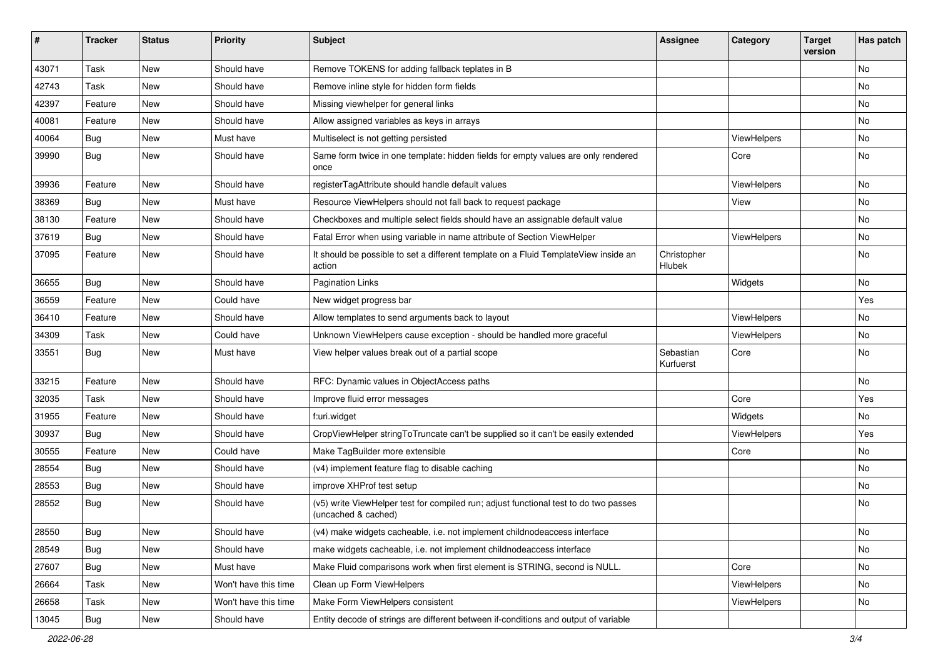| ∦     | <b>Tracker</b> | <b>Status</b> | <b>Priority</b>      | <b>Subject</b>                                                                                              | <b>Assignee</b>        | Category    | <b>Target</b><br>version | Has patch |
|-------|----------------|---------------|----------------------|-------------------------------------------------------------------------------------------------------------|------------------------|-------------|--------------------------|-----------|
| 43071 | Task           | New           | Should have          | Remove TOKENS for adding fallback teplates in B                                                             |                        |             |                          | No        |
| 42743 | Task           | New           | Should have          | Remove inline style for hidden form fields                                                                  |                        |             |                          | No        |
| 42397 | Feature        | New           | Should have          | Missing viewhelper for general links                                                                        |                        |             |                          | No        |
| 40081 | Feature        | New           | Should have          | Allow assigned variables as keys in arrays                                                                  |                        |             |                          | No        |
| 40064 | Bug            | New           | Must have            | Multiselect is not getting persisted                                                                        |                        | ViewHelpers |                          | No        |
| 39990 | Bug            | New           | Should have          | Same form twice in one template: hidden fields for empty values are only rendered<br>once                   |                        | Core        |                          | No        |
| 39936 | Feature        | New           | Should have          | registerTagAttribute should handle default values                                                           |                        | ViewHelpers |                          | No.       |
| 38369 | Bug            | New           | Must have            | Resource ViewHelpers should not fall back to request package                                                |                        | View        |                          | No        |
| 38130 | Feature        | New           | Should have          | Checkboxes and multiple select fields should have an assignable default value                               |                        |             |                          | No        |
| 37619 | Bug            | New           | Should have          | Fatal Error when using variable in name attribute of Section ViewHelper                                     |                        | ViewHelpers |                          | No        |
| 37095 | Feature        | New           | Should have          | It should be possible to set a different template on a Fluid TemplateView inside an<br>action               | Christopher<br>Hlubek  |             |                          | No        |
| 36655 | Bug            | <b>New</b>    | Should have          | <b>Pagination Links</b>                                                                                     |                        | Widgets     |                          | No        |
| 36559 | Feature        | New           | Could have           | New widget progress bar                                                                                     |                        |             |                          | Yes       |
| 36410 | Feature        | New           | Should have          | Allow templates to send arguments back to layout                                                            |                        | ViewHelpers |                          | No        |
| 34309 | Task           | New           | Could have           | Unknown ViewHelpers cause exception - should be handled more graceful                                       |                        | ViewHelpers |                          | No        |
| 33551 | Bug            | New           | Must have            | View helper values break out of a partial scope                                                             | Sebastian<br>Kurfuerst | Core        |                          | No        |
| 33215 | Feature        | New           | Should have          | RFC: Dynamic values in ObjectAccess paths                                                                   |                        |             |                          | No        |
| 32035 | Task           | New           | Should have          | Improve fluid error messages                                                                                |                        | Core        |                          | Yes       |
| 31955 | Feature        | New           | Should have          | f:uri.widget                                                                                                |                        | Widgets     |                          | No        |
| 30937 | Bug            | New           | Should have          | CropViewHelper stringToTruncate can't be supplied so it can't be easily extended                            |                        | ViewHelpers |                          | Yes       |
| 30555 | Feature        | New           | Could have           | Make TagBuilder more extensible                                                                             |                        | Core        |                          | No        |
| 28554 | Bug            | New           | Should have          | (v4) implement feature flag to disable caching                                                              |                        |             |                          | No        |
| 28553 | Bug            | New           | Should have          | improve XHProf test setup                                                                                   |                        |             |                          | No        |
| 28552 | Bug            | New           | Should have          | (v5) write ViewHelper test for compiled run; adjust functional test to do two passes<br>(uncached & cached) |                        |             |                          | No        |
| 28550 | <b>Bug</b>     | New           | Should have          | (v4) make widgets cacheable, i.e. not implement childnodeaccess interface                                   |                        |             |                          | N0        |
| 28549 | <b>Bug</b>     | New           | Should have          | make widgets cacheable, i.e. not implement childnodeaccess interface                                        |                        |             |                          | No        |
| 27607 | <b>Bug</b>     | New           | Must have            | Make Fluid comparisons work when first element is STRING, second is NULL.                                   |                        | Core        |                          | No        |
| 26664 | Task           | New           | Won't have this time | Clean up Form ViewHelpers                                                                                   |                        | ViewHelpers |                          | No        |
| 26658 | Task           | New           | Won't have this time | Make Form ViewHelpers consistent                                                                            |                        | ViewHelpers |                          | No        |
| 13045 | Bug            | New           | Should have          | Entity decode of strings are different between if-conditions and output of variable                         |                        |             |                          |           |